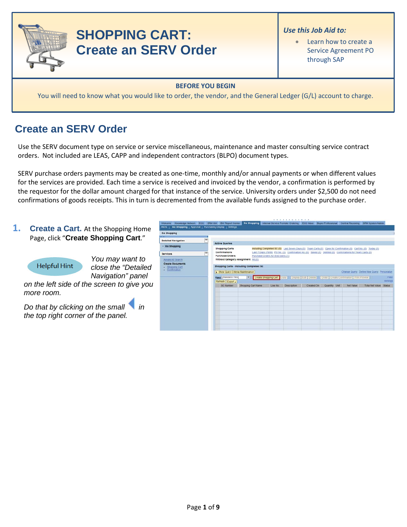

# **SHOPPING CART: Create an SERV Order**

### *Use this Job Aid to:*

• Learn how to create a Service Agreement PO through SAP

#### **BEFORE YOU BEGIN**

You will need to know what you would like to order, the vendor, and the General Ledger (G/L) account to charge.

# **Create an SERV Order**

Use the SERV document type on service or service miscellaneous, maintenance and master consulting service contract orders. Not included are LEAS, CAPP and independent contractors (BLPO) document types.

SERV purchase orders payments may be created as one-time, monthly and/or annual payments or when different values for the services are provided. Each time a service is received and invoiced by the vendor, a confirmation is performed by the requestor for the dollar amount charged for that instance of the service. University orders under \$2,500 do not need confirmations of goods receipts. This in turn is decremented from the available funds assigned to the purchase order.

 $\frac{2}{5}$ 

## **1. Create a Cart.** At the Shopping Home Page, click "**Create Shopping Cart**."



*You may want to close the "Detailed Navigation" panel* 

*on the left side of the screen to give you more room.* 

*Do that by clicking on the small in the top right corner of the panel.*

| rts   Go Shopping   Approval   Purchasing Display   Settings |                                         |                                                                                                                                                                                                                                                                                                                                                                                                                                   |          |             |            |               |                                                                                                   |                 |                   |  |
|--------------------------------------------------------------|-----------------------------------------|-----------------------------------------------------------------------------------------------------------------------------------------------------------------------------------------------------------------------------------------------------------------------------------------------------------------------------------------------------------------------------------------------------------------------------------|----------|-------------|------------|---------------|---------------------------------------------------------------------------------------------------|-----------------|-------------------|--|
| Shopping                                                     |                                         |                                                                                                                                                                                                                                                                                                                                                                                                                                   |          |             |            |               |                                                                                                   |                 |                   |  |
| 崖                                                            | <b>Active Queries</b>                   |                                                                                                                                                                                                                                                                                                                                                                                                                                   |          |             |            |               |                                                                                                   |                 |                   |  |
|                                                              | <b>Shopping Carts</b>                   |                                                                                                                                                                                                                                                                                                                                                                                                                                   |          |             |            |               |                                                                                                   |                 |                   |  |
| $\overline{\phantom{0}}$<br><b>rvices</b><br>dvanced Search  | Confirmations<br><b>Purchase Orders</b> | Including Completed SC (0) Last Seven Days (0) Team Carts (0) Open for Confirmation (0) Cart No. (0) Today (0)<br>Last 7 Days (7939) PO No. (3) Confirmation No. (0) Saved (0) Deleted (0) Confirmations for Team Carts (0)<br>Purchase Orders for End Users (1)<br>Without Category Assignment Al (0)<br>Shopping Carts - Including Completed SC<br>Change Query Define New Query Personalize<br>Show Quick Criteria Maintenance |          |             |            |               |                                                                                                   |                 |                   |  |
| Shopping Cart<br>Confirmation                                |                                         |                                                                                                                                                                                                                                                                                                                                                                                                                                   |          |             |            |               |                                                                                                   |                 |                   |  |
| tailed Navigation<br>Go Shopping<br><b>Create Documents</b>  | View: [Standard View]<br>Refresh Export |                                                                                                                                                                                                                                                                                                                                                                                                                                   |          |             |            |               | Create Shopping Cart Copy   Display Edit   Delete     Order   Create Confirmation   Print Preview |                 | Fiter<br>Settings |  |
|                                                              | <b>SC Number</b>                        | Shopping Cart Name                                                                                                                                                                                                                                                                                                                                                                                                                | Line No. | Description | Created On | Quantity Unit | Net Value                                                                                         | Total Net Value | <b>Status</b>     |  |
|                                                              |                                         |                                                                                                                                                                                                                                                                                                                                                                                                                                   |          |             |            |               |                                                                                                   |                 |                   |  |
|                                                              |                                         |                                                                                                                                                                                                                                                                                                                                                                                                                                   |          |             |            |               |                                                                                                   |                 |                   |  |
|                                                              |                                         |                                                                                                                                                                                                                                                                                                                                                                                                                                   |          |             |            |               |                                                                                                   |                 |                   |  |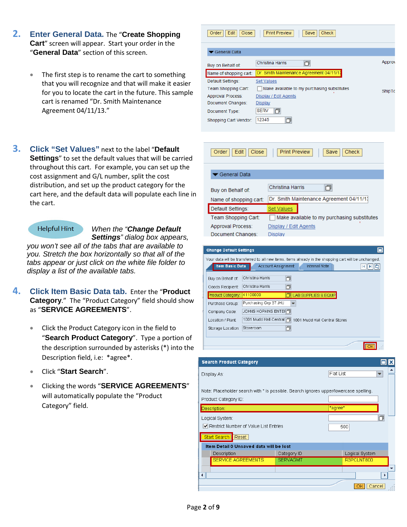- **2. Enter General Data.** The "**Create Shopping Cart**" screen will appear. Start your order in the "**General Data**" section of this screen.
	- The first step is to rename the cart to something that you will recognize and that will make it easier for you to locate the cart in the future. This sample cart is renamed "Dr. Smith Maintenance Agreement 04/11/13."
- **3. Click "Set Values"** next to the label "**Default Settings**" to set the default values that will be carried throughout this cart. For example, you can set up the cost assignment and G/L number, split the cost distribution, and set up the product category for the cart here, and the default data will populate each line in the cart.

#### **Helpful Hint**

#### *When the "Change Default Settings" dialog box appears,*

*you won't see all of the tabs that are available to you. Stretch the box horizontally so that all of the tabs appear or just click on the white file folder to display a list of the available tabs.*

- **4. Click Item Basic Data tab.** Enter the "**Product Category**." The "Product Category" field should show as "**SERVICE AGREEMENTS**".
	- Click the Product Category icon in the field to "**Search Product Category**". Type a portion of the description surrounded by asterisks (\*) into the Description field, i.e: \*agree\*.
	- Click "**Start Search**".
	- Clicking the words "**SERVICE AGREEMENTS**" will automatically populate the "Product Category" field.

Order | Edit | Close **Print Preview** Save Check



| Edit<br><b>Close</b><br>Order | <b>Print Preview</b><br><b>Check</b><br>Save |
|-------------------------------|----------------------------------------------|
|                               |                                              |
| General Data                  |                                              |
|                               |                                              |
| Buy on Behalf of:             | <b>Christina Harris</b>                      |
| Name of shopping cart:        | Dr. Smith Maintenance Agreement 04/11/11     |
| Default Settings:             | <b>Set Values</b>                            |
| Team Shopping Cart:           | Make available to my purchasing substitutes  |
| Approval Process:             | Display / Edit Agents                        |
| Document Changes:             | <b>Display</b>                               |

| <b>Search Product Category</b>                                                        |                 |                          |                |  |                          |  |
|---------------------------------------------------------------------------------------|-----------------|--------------------------|----------------|--|--------------------------|--|
| Display As:                                                                           | Flat List       | $\overline{\phantom{a}}$ |                |  |                          |  |
|                                                                                       |                 |                          |                |  |                          |  |
| Note: Placeholder search with * is possible. Search ignores upper/lowercase spelling. |                 |                          |                |  |                          |  |
| Product Category ID:                                                                  |                 |                          |                |  |                          |  |
| Description:                                                                          |                 | *agree*                  |                |  |                          |  |
| Logical System:                                                                       |                 |                          | m              |  |                          |  |
| Restrict Number of Value List Entries                                                 |                 | 500                      |                |  |                          |  |
| <b>Start Search</b><br>Reset                                                          |                 |                          |                |  |                          |  |
| Item Detail 0 Unsaved data will be lost                                               |                 |                          |                |  |                          |  |
| Description                                                                           | Category ID     |                          | Logical System |  |                          |  |
| <b>SERVICE AGREEMENTS</b>                                                             | <b>SERVAGMT</b> |                          | R3PCLNT800     |  |                          |  |
|                                                                                       |                 |                          |                |  | $\overline{\phantom{a}}$ |  |
| ◂                                                                                     |                 |                          |                |  |                          |  |
|                                                                                       |                 |                          | Cancel         |  |                          |  |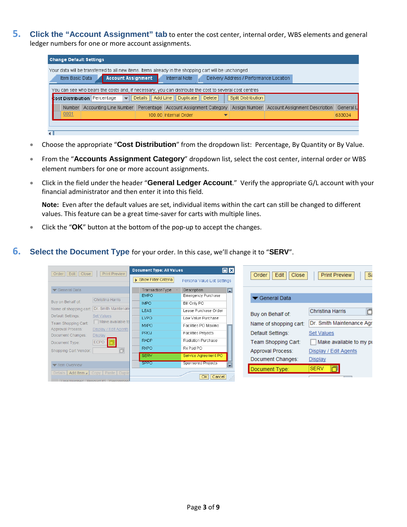**5. Click the "Account Assignment" tab** to enter the cost center, internal order, WBS elements and general ledger numbers for one or more account assignments.

| <b>Change Default Settings</b>                                                                                                                                                                                    |                     |  |  |  |  |  |  |  |  |  |
|-------------------------------------------------------------------------------------------------------------------------------------------------------------------------------------------------------------------|---------------------|--|--|--|--|--|--|--|--|--|
| Your data will be transferred to all new items, Items already in the shopping cart will be unchanged.<br><b>Account Assignment</b><br>Item Basic Data<br>Internal Note<br>Delivery Address / Performance Location |                     |  |  |  |  |  |  |  |  |  |
| You can see who bears the costs and, if necessary, you can distribute the cost to several cost centres<br><b>Cost Distribution</b> Percentage<br>Details<br>Add Line<br>Duplicate Delete<br>Split Distribution    |                     |  |  |  |  |  |  |  |  |  |
| Accounting Line Number<br>Account Assignment Category<br>Percentage<br>Assign Number<br>Account Assignment Description<br><b>Number</b><br>0001<br>100.00 Internal Order                                          | General L<br>633024 |  |  |  |  |  |  |  |  |  |
| $\overline{1}$                                                                                                                                                                                                    |                     |  |  |  |  |  |  |  |  |  |

- Choose the appropriate "**Cost Distribution**" from the dropdown list: Percentage, By Quantity or By Value.
- From the "**Accounts Assignment Category**" dropdown list, select the cost center, internal order or WBS element numbers for one or more account assignments.
- Click in the field under the header "**General Ledger Account**." Verify the appropriate G/L account with your financial administrator and then enter it into this field.

**Note:** Even after the default values are set, individual items within the cart can still be changed to different values. This feature can be a great time-saver for carts with multiple lines.

- Click the "**OK**" button at the bottom of the pop-up to accept the changes.
- **6. Select the Document Type** for your order. In this case, we'll change it to "**SERV**".

| <b>Print Preview</b><br>Order   Edit   Close                                      | <b>Document Type: All Values</b><br>Show Filter Criteria | $\Box$ x<br>Personal Value List Settings | <b>Close</b><br>Edit<br>Order | S:<br><b>Print Preview</b>   |
|-----------------------------------------------------------------------------------|----------------------------------------------------------|------------------------------------------|-------------------------------|------------------------------|
| General Data                                                                      | TransactionTvpe                                          | A<br>Description                         |                               |                              |
| Christina Harris                                                                  | <b>EMPO</b>                                              | Emergency Purchase                       | ▼ General Data                |                              |
| Buy on Behalf of:                                                                 | <b>IMPO</b>                                              | Bill Only PO                             |                               |                              |
| Dr. Smith Maintenand<br>Name of shopping cart:                                    | <b>LEAS</b>                                              | Lease Purchase Order                     | Buy on Behalf of:             | Ó<br><b>Christina Harris</b> |
| Default Settings:<br><b>Set Values</b>                                            | <b>LVPO</b>                                              | Low Value Purchase                       |                               |                              |
| Make available to<br>Team Shopping Cart:                                          | <b>MXPO</b>                                              | Facilities PO Maximo                     | Name of shopping cart:        | Dr. Smith Maintenance Agr    |
| Display / Edit Agents<br>Approval Process:<br>Document Changes:<br><b>Display</b> | <b>PROJ</b>                                              | Facilities Projects                      | Default Settings:             | <b>Set Values</b>            |
| <b>ECPO</b><br>Document Type:                                                     | <b>RADP</b>                                              | Radiation Purchase                       | Team Shopping Cart:           | Make available to my pu      |
| 门<br>Shopping Cart Vendor:                                                        | <b>RXPO</b>                                              | Rx Pad PO                                | <b>Approval Process:</b>      | Display / Edit Agents        |
|                                                                                   | <b>SERV</b>                                              | Service Agreement PO                     |                               |                              |
| <b>Verview</b>                                                                    | <b>SPPO</b>                                              | Sponsored Projects                       | Document Changes:             | Display                      |
| Details   Add Item ⊿   Copy   Paste   Duplic                                      |                                                          |                                          | Document Type:                | <b>SERV</b>                  |
| Line Number Droduct ID Decorintion                                                |                                                          | OK<br>Cancel<br>$1 - 10 = 1$<br>9999     |                               |                              |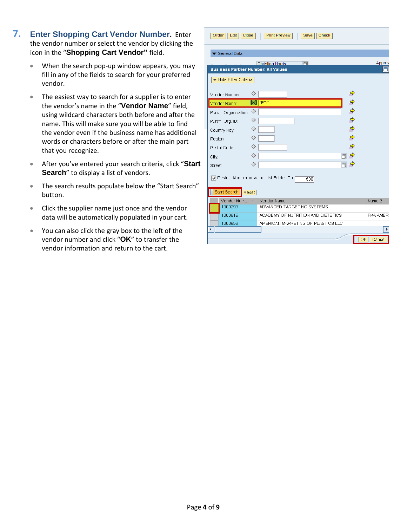- **7. Enter Shopping Cart Vendor Number.** Enter the vendor number or select the vendor by clicking the icon in the "**Shopping Cart Vendor"** field.
	- When the search pop-up window appears, you may fill in any of the fields to search for your preferred vendor.
	- The easiest way to search for a supplier is to enter the vendor's name in the "**Vendor Name**" field, using wildcard characters both before and after the name. This will make sure you will be able to find the vendor even if the business name has additional words or characters before or after the main part that you recognize.
	- After you've entered your search criteria, click "**Start Search**" to display a list of vendors.
	- The search results populate below the "Start Search" button.
	- Click the supplier name just once and the vendor data will be automatically populated in your cart.
	- You can also click the gray box to the left of the vendor number and click "**OK**" to transfer the vendor information and return to the cart.

| Order<br>Edit<br>Close                     |       | <b>Print Preview</b><br>Save<br>Check      |               |                                    |
|--------------------------------------------|-------|--------------------------------------------|---------------|------------------------------------|
| <b>General Data</b>                        |       |                                            |               |                                    |
| <b>Business Partner Number: All Values</b> |       | $\Box$<br><b>Christina Harris</b>          |               | Approv                             |
| Hide Filter Criteria                       |       |                                            |               |                                    |
| Vendor Number:                             | ◇     |                                            |               |                                    |
| Vendor Name:                               |       | $\left[\mathbb{M}\right]$ $\mathbb{E}$ TI* | 9 9 P         |                                    |
| Purch. Organization:                       | ◇     |                                            |               |                                    |
| Purch. Org. ID:                            | ◇     |                                            |               |                                    |
| Country Key:                               | ◇     |                                            | $\Rightarrow$ |                                    |
| Region:                                    | ◇     |                                            | $\Rightarrow$ |                                    |
| Postal Code:                               | ◇     |                                            | ф             |                                    |
| City:                                      | ◇     |                                            | ⇨             |                                    |
| Street:                                    | ◇     |                                            | 9             |                                    |
| Restrict Number of Value List Entries To   |       | 500                                        |               |                                    |
| Start Search                               | Reset |                                            |               |                                    |
| Vendor Num                                 |       | Vendor Name                                |               | Name 2                             |
| 1000299                                    |       | ADVANCED TARGETING SYSTEMS                 |               |                                    |
| 1000616                                    |       | ACADEMY OF NUTRITION AND DIETETICS         |               | <b>FKA AMERI</b>                   |
| 1000653                                    |       | AMERICAN MARKETING OF PLASTICS LLC         |               |                                    |
|                                            |       |                                            |               | $\overline{\mathsf{OK}}$<br>Cancel |
|                                            |       |                                            |               |                                    |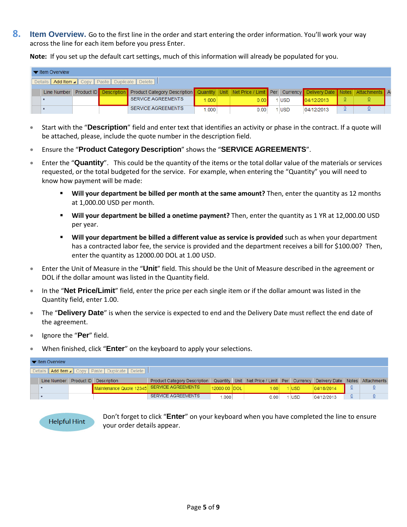**8. Item Overview.** Go to the first line in the order and start entering the order information. You'll work your way across the line for each item before you press Enter.

**Note:** If you set up the default cart settings, much of this information will already be populated for you.

| $\blacktriangleright$ Item Overview                           |  |                               |                                                                                                              |       |  |       |  |         |            |  |  |  |
|---------------------------------------------------------------|--|-------------------------------|--------------------------------------------------------------------------------------------------------------|-------|--|-------|--|---------|------------|--|--|--|
| Details    Add Item ⊿    Copy    Paste    Duplicate    Delete |  |                               |                                                                                                              |       |  |       |  |         |            |  |  |  |
| Line Number                                                   |  | <b>Product ID</b> Description | Product Category Description Quantity Unit Net Price / Limit Per Currency Delivery Date Notes Attachments Ad |       |  |       |  |         |            |  |  |  |
|                                                               |  |                               | <b>SERVICE AGREEMENTS</b>                                                                                    | 1.000 |  | 0.001 |  | $1$ USD | 04/12/2013 |  |  |  |
|                                                               |  |                               | <b>SERVICE AGREEMENTS</b>                                                                                    | 1.000 |  | 0.00  |  | $1$ USD | 04/12/2013 |  |  |  |

- Start with the "**Description**" field and enter text that identifies an activity or phase in the contract. If a quote will be attached, please, include the quote number in the description field.
- Ensure the "**Product Category Description**" shows the "**SERVICE AGREEMENTS**".
- Enter the "**Quantity**". This could be the quantity of the items or the total dollar value of the materials or services requested, or the total budgeted for the service. For example, when entering the "Quantity" you will need to know how payment will be made:
	- **Will your department be billed per month at the same amount?** Then, enter the quantity as 12 months at 1,000.00 USD per month.
	- **Will your department be billed a onetime payment?** Then, enter the quantity as 1 YR at 12,000.00 USD per year.
	- **Will your department be billed a different value as service is provided** such as when your department has a contracted labor fee, the service is provided and the department receives a bill for \$100.00? Then, enter the quantity as 12000.00 DOL at 1.00 USD.
- Enter the Unit of Measure in the "**Unit**" field. This should be the Unit of Measure described in the agreement or DOL if the dollar amount was listed in the Quantity field.
- In the "**Net Price/Limit**" field, enter the price per each single item or if the dollar amount was listed in the Quantity field, enter 1.00.
- The "**Delivery Date**" is when the service is expected to end and the Delivery Date must reflect the end date of the agreement.
- Ignore the "**Per**" field.
- When finished, click "**Enter**" on the keyboard to apply your selections.

| $\blacktriangleright$ Item Overview                      |            |             |                                            |              |  |                                              |  |             |                                 |    |  |  |
|----------------------------------------------------------|------------|-------------|--------------------------------------------|--------------|--|----------------------------------------------|--|-------------|---------------------------------|----|--|--|
| Details   Add Item 1   Copy   Paste   Duplicate   Delete |            |             |                                            |              |  |                                              |  |             |                                 |    |  |  |
| Line Number                                              | Product ID | Description | <b>Product Category Description</b>        |              |  | Quantity Unit Net Price / Limit Per Currency |  |             | Delivery Date Notes Attachments |    |  |  |
|                                                          |            |             | Maintenance Quote 12345 SERVICE AGREEMENTS | 12000.00 DOL |  | 1.00                                         |  | <b>IUSD</b> | 04/18/2014                      | 0. |  |  |
|                                                          |            |             | <b>SERVICE AGREEMENTS</b>                  | 1.000        |  | 0.00                                         |  | 1 USD       | 04/12/2013                      | 0. |  |  |



Don't forget to click "**Enter**" on your keyboard when you have completed the line to ensure your order details appear.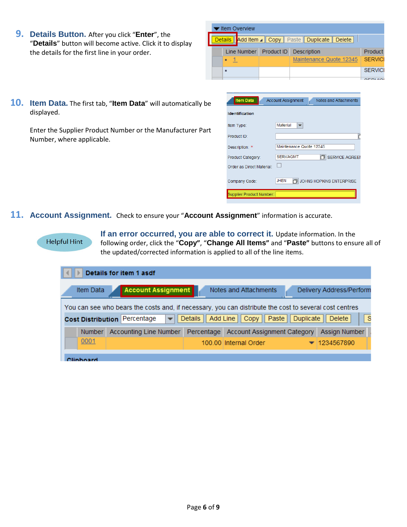**9. Details Button.** After you click "**Enter**", the "**Details**" button will become active. Click it to display the details for the first line in your order.

| $\blacktriangleright$ Item Overview                    |                                    |  |                         |                |  |  |  |  |  |  |  |
|--------------------------------------------------------|------------------------------------|--|-------------------------|----------------|--|--|--|--|--|--|--|
| Details   Add Item / Copy   Paste   Duplicate   Delete |                                    |  |                         |                |  |  |  |  |  |  |  |
|                                                        | Line Number Product ID Description |  |                         | <b>Product</b> |  |  |  |  |  |  |  |
|                                                        |                                    |  | Maintenance Quote 12345 | SERVICE        |  |  |  |  |  |  |  |
|                                                        | ٠                                  |  |                         | <b>SERVICI</b> |  |  |  |  |  |  |  |
|                                                        |                                    |  |                         |                |  |  |  |  |  |  |  |

**10. Item Data.** The first tab, "**Item Data**" will automatically be displayed.

Enter the Supplier Product Number or the Manufacturer Part Number, where applicable.

| <b>Item Data</b>          | Notes and Attachments<br><b>Account Assignment</b> |
|---------------------------|----------------------------------------------------|
| <b>Identification</b>     |                                                    |
| Item Type:                | Material<br>$\overline{\phantom{a}}$               |
| Product ID:               |                                                    |
| Description: *            | Maintenance Quote 12345                            |
| Product Category:         | <b>SERVAGMT</b><br><b>SERVICE AGREEM</b>           |
| Order as Direct Material: |                                                    |
| Company Code:             | <b>JHEN</b><br>JOHNS HOPKINS ENTERPRISE            |
| Supplier Product Number:  |                                                    |
|                           |                                                    |

**11. Account Assignment.** Check to ensure your "**Account Assignment**" information is accurate.



**If an error occurred, you are able to correct it.** Update information. In the following order, click the "**Copy"**, "**Change All Items"** and "**Paste"** buttons to ensure all of the updated/corrected information is applied to all of the line items.

| Details for item 1 asdf |                                                                                                        |            |                                    |           |                          |              |  |  |  |  |  |
|-------------------------|--------------------------------------------------------------------------------------------------------|------------|------------------------------------|-----------|--------------------------|--------------|--|--|--|--|--|
| Item Data               | <b>Account Assignment</b>                                                                              |            | Notes and Attachments              |           | Delivery Address/Perform |              |  |  |  |  |  |
|                         | You can see who bears the costs and, if necessary, you can distribute the cost to several cost centres |            |                                    |           |                          |              |  |  |  |  |  |
|                         | <b>Cost Distribution Percentage</b><br>$\overline{\phantom{a}}$                                        | Details    | Add Line<br>Paste<br>Copy          | Duplicate | <b>Delete</b>            | <sub>S</sub> |  |  |  |  |  |
| <b>Number</b>           | Accounting Line Number                                                                                 | Percentage | <b>Account Assignment Category</b> |           | Assign Number            |              |  |  |  |  |  |
| 0001                    |                                                                                                        |            | 100.00 Internal Order              |           | 1234567890               |              |  |  |  |  |  |
| Alimbaard               |                                                                                                        |            |                                    |           |                          |              |  |  |  |  |  |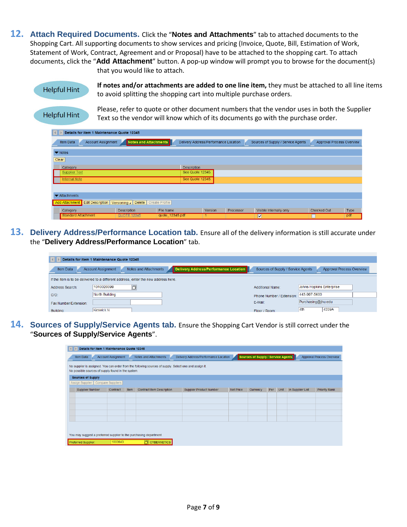**12. Attach Required Documents.** Click the "**Notes and Attachments**" tab to attached documents to the Shopping Cart. All supporting documents to show services and pricing (Invoice, Quote, Bill, Estimation of Work, Statement of Work, Contract, Agreement and or Proposal) have to be attached to the shopping cart. To attach documents, click the "**Add Attachment**" button. A pop-up window will prompt you to browse for the document(s) that you would like to attach.

**Helpful Hint** 

**If notes and/or attachments are added to one line item,** they must be attached to all line items to avoid splitting the shopping cart into multiple purchase orders.

**Helpful Hint** 

Please, refer to quote or other document numbers that the vendor uses in both the Supplier Text so the vendor will know which of its documents go with the purchase order.

|                                               | Details for item 1 Maintenance Quote 12345 |                    |                                       |           |                                    |                                  |             |  |  |  |  |  |
|-----------------------------------------------|--------------------------------------------|--------------------|---------------------------------------|-----------|------------------------------------|----------------------------------|-------------|--|--|--|--|--|
| <b>Account Assignment</b><br><b>Item Data</b> | Notes and Attachments                      |                    | Delivery Address/Performance Location |           | Sources of Supply / Service Agents | <b>Approval Process Overview</b> |             |  |  |  |  |  |
| $\blacktriangleright$ Notes                   |                                            |                    |                                       |           |                                    |                                  |             |  |  |  |  |  |
| Clear                                         |                                            |                    |                                       |           |                                    |                                  |             |  |  |  |  |  |
| Category                                      |                                            | <b>Description</b> |                                       |           |                                    |                                  |             |  |  |  |  |  |
| <b>Supplier Text</b>                          |                                            | See Quote 12345.   |                                       |           |                                    |                                  |             |  |  |  |  |  |
| <b>Internal Note</b>                          |                                            | See Quote 12345.   |                                       |           |                                    |                                  |             |  |  |  |  |  |
|                                               |                                            |                    |                                       |           |                                    |                                  |             |  |  |  |  |  |
| $\blacktriangleright$ Attachments             |                                            |                    |                                       |           |                                    |                                  |             |  |  |  |  |  |
| <b>Add Attachment</b>                         | Edit Description   Versioning Delete       | Create Profile     |                                       |           |                                    |                                  |             |  |  |  |  |  |
| Category                                      | <b>Description</b>                         | File Name          | Version                               | Processor | Visible Internally only            | <b>Checked Out</b>               | <b>Type</b> |  |  |  |  |  |
| Standard Attachment                           | <b>QUOTE 12345</b>                         | quote 12345.pdf    | 1                                     |           | $\overline{\mathbf{v}}$            |                                  | pdf         |  |  |  |  |  |

**13. Delivery Address/Performance Location tab.** Ensure all of the delivery information is still accurate under the "**Delivery Address/Performance Location**" tab.

|                       | Details for item 1 Maintenance Quote 12345                                         |                                       |                                    |                           |
|-----------------------|------------------------------------------------------------------------------------|---------------------------------------|------------------------------------|---------------------------|
| Item Data             | Notes and Attachments<br><b>Account Assignment</b>                                 | Delivery Address/Performance Location | Sources of Supply / Service Agents | Approval Process Overview |
|                       | If the item is to be delivered to a different address, enter the new address here. |                                       |                                    |                           |
| Address Search:       | 1010020099                                                                         |                                       | Additional Name:                   | Johns Hopkins Enterprise  |
| $C/O$ :               | <b>North Building</b>                                                              |                                       | Phone Number / Extension:          | 443-997-5600              |
| Fax Number/Extension: |                                                                                    |                                       | E-Mail:                            | Purchasing@jhu.edu        |
| Building:             | <b>Keswick N</b>                                                                   |                                       | Floor / Room:                      | 4339A<br> 4th             |

**14. Sources of Supply/Service Agents tab.** Ensure the Shopping Cart Vendor is still correct under the "**Sources of Supply/Service Agents**".

|                                                                                                                                                              |  | Details for item 1 Maintenance Quote 12345 |      |                                                                   |  |                                       |           |                                    |     |      |                  |                                  |
|--------------------------------------------------------------------------------------------------------------------------------------------------------------|--|--------------------------------------------|------|-------------------------------------------------------------------|--|---------------------------------------|-----------|------------------------------------|-----|------|------------------|----------------------------------|
| Item Data                                                                                                                                                    |  | <b>Account Assignment</b>                  |      | Notes and Attachments                                             |  | Delivery Address/Performance Location |           | Sources of Supply / Service Agents |     |      |                  | <b>Approval Process Overview</b> |
| No supplier is assigned. You can order from the following sources of supply. Select one and assign it.<br>No possible sources of supply found in the system. |  |                                            |      |                                                                   |  |                                       |           |                                    |     |      |                  |                                  |
| <b>Sources of Supply</b>                                                                                                                                     |  |                                            |      |                                                                   |  |                                       |           |                                    |     |      |                  |                                  |
| <b>Assign Supplier</b>                                                                                                                                       |  | Compare Suppliers                          |      |                                                                   |  |                                       |           |                                    |     |      |                  |                                  |
| <b>Supplier Number</b>                                                                                                                                       |  | Contract                                   | Item | <b>Contract Item Description</b>                                  |  | Supplier Product Number               | Net Price | Currency                           | Per | Unit | In Supplier List | <b>Priority Rank</b>             |
|                                                                                                                                                              |  |                                            |      |                                                                   |  |                                       |           |                                    |     |      |                  |                                  |
|                                                                                                                                                              |  |                                            |      |                                                                   |  |                                       |           |                                    |     |      |                  |                                  |
|                                                                                                                                                              |  |                                            |      |                                                                   |  |                                       |           |                                    |     |      |                  |                                  |
|                                                                                                                                                              |  |                                            |      |                                                                   |  |                                       |           |                                    |     |      |                  |                                  |
|                                                                                                                                                              |  |                                            |      |                                                                   |  |                                       |           |                                    |     |      |                  |                                  |
|                                                                                                                                                              |  |                                            |      | You may suggest a preferred supplier to the purchasing department |  |                                       |           |                                    |     |      |                  |                                  |
| Preferred Supplier:                                                                                                                                          |  | 1003043                                    |      | <b>F</b> CYBERNETICS                                              |  |                                       |           |                                    |     |      |                  |                                  |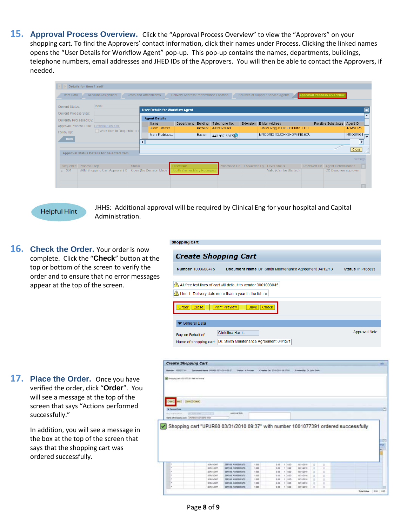**15. Approval Process Overview.** Click the "Approval Process Overview" to view the "Approvers" on your shopping cart. To find the Approvers' contact information, click their names under Process. Clicking the linked names opens the "User Details for Workflow Agent" pop-up. This pop-up contains the names, departments, buildings, telephone numbers, email addresses and JHED IDs of the Approvers. You will then be able to contact the Approvers, if needed.

| <b>Agent Details</b><br>Possible Substitutes<br>Department Building Telephone No.<br>Extension E-Mail Address<br>Agent ID<br>Name<br>Judith Zimmer<br>4439975663<br>JZIMMER5@JOHNSHOPKINS.EDU<br>JZIMMER5<br>Keswick<br>Work Item to Requester at P<br>MRODRIG1@JOHNSHOPKINS.EDU<br>MRODRIG1<br>Mary Rodriguez<br>Eastern<br>443-997-5657<br><b>Item</b><br>Close | <b>Current Process Step:</b><br>Currently Processed By:<br>Approval Process Data: Download as XML<br>Follow Up:<br>Approval Status Details for Selected Item |  |
|-------------------------------------------------------------------------------------------------------------------------------------------------------------------------------------------------------------------------------------------------------------------------------------------------------------------------------------------------------------------|--------------------------------------------------------------------------------------------------------------------------------------------------------------|--|
|                                                                                                                                                                                                                                                                                                                                                                   |                                                                                                                                                              |  |
|                                                                                                                                                                                                                                                                                                                                                                   |                                                                                                                                                              |  |



JHHS: Additional approval will be required by Clinical Eng for your hospital and Capital Administration.

**16. Check the Order.** Your order is now complete. Click the "**Check**" button at the top or bottom of the screen to verify the order and to ensure that no error messages appear at the top of the screen.

#### **Shopping Cart**

| --------------                                                                                                        |                          |
|-----------------------------------------------------------------------------------------------------------------------|--------------------------|
| <b>Create Shopping Cart</b>                                                                                           |                          |
| Number 1003686475<br>Document Name Dr. Smith Maintenance Agreement 04/12/13                                           | <b>Status In Process</b> |
| All free text lines of cart will default to vendor 0001003043<br>Line 1: Delivery date more than a year in the future |                          |
| <b>Print Preview</b><br>Close<br>Save   Check<br>rder                                                                 |                          |
| <b>General Data</b>                                                                                                   |                          |
| <b>Christina Harris</b><br>Buy on Behalf of:<br>Dr. Smith Maintenance Agreement 04/12/11<br>Name of shopping cart:    | <b>Approval Note</b>     |

**17. Place the Order.** Once you have verified the order, click "**Order**". You will see a message at the top of the screen that says "Actions performed successfully."

> In addition, you will see a message in the box at the top of the screen that says that the shopping cart was ordered successfully.

| Namber 1001077391<br>Shopping cart 1001077391 has no errors<br>Sine Deck<br>Order.<br><b>ROMA</b><br>· General Data<br><b>The Thomas Bonato</b><br>Week new Markwell 214<br>Name of Shopping Cart. (URURIS 01/31/2010 09:37<br>Shopping cart "UPUR60 03/31/2010 09:37" with number 1001077391 ordered successfully<br>$\blacktriangleright$ | Document Name, UPUN65 03/31/2010 03:31 | Status in Process<br>Algemeini Niche |       | Created On 03/3/2010 09:17:58 |            | Created by Dr. John Smith |   |   |  |             |
|---------------------------------------------------------------------------------------------------------------------------------------------------------------------------------------------------------------------------------------------------------------------------------------------------------------------------------------------|----------------------------------------|--------------------------------------|-------|-------------------------------|------------|---------------------------|---|---|--|-------------|
|                                                                                                                                                                                                                                                                                                                                             |                                        |                                      |       |                               |            |                           |   |   |  |             |
|                                                                                                                                                                                                                                                                                                                                             |                                        |                                      |       |                               |            |                           |   |   |  |             |
|                                                                                                                                                                                                                                                                                                                                             |                                        |                                      |       |                               |            |                           |   |   |  |             |
|                                                                                                                                                                                                                                                                                                                                             |                                        |                                      |       |                               |            |                           |   |   |  |             |
|                                                                                                                                                                                                                                                                                                                                             |                                        |                                      |       |                               |            |                           |   |   |  |             |
|                                                                                                                                                                                                                                                                                                                                             |                                        |                                      |       |                               |            |                           |   |   |  |             |
|                                                                                                                                                                                                                                                                                                                                             |                                        |                                      |       |                               |            |                           |   |   |  | test<br>þe. |
| ٠                                                                                                                                                                                                                                                                                                                                           | <b>SERVAGNIT</b>                       | SERVICE ADRESSENTS                   | 1,000 | 0.00                          | $+ 1250$   | 13/51/2910                | 1 |   |  |             |
|                                                                                                                                                                                                                                                                                                                                             | <b>SERVAGINT</b>                       | SERVICE AGREEMENTS                   | 1,000 | 0.24                          | 1.950      | E3/31/2918                | × |   |  |             |
|                                                                                                                                                                                                                                                                                                                                             | <b><i>SERVAGET</i></b>                 | SERVICE AGREEMENTS                   | 1,000 | 0.00                          | $1 - 1050$ | 33/31/2010                | E |   |  |             |
| ٠                                                                                                                                                                                                                                                                                                                                           | SERVAGELY                              | SERVICE AGREEMENTS                   | 1.000 | 0.00                          | 1.1000     | 13/31/2510                | n | İ |  |             |
|                                                                                                                                                                                                                                                                                                                                             | SERVAGINT                              | SERVICE ADREEMENTS                   | 1,000 | 0.00                          | 1 000      | 13/31/2010                | z |   |  |             |
| ٠                                                                                                                                                                                                                                                                                                                                           | SERVAGNT.                              | SERVEE AGREEMENTS                    | 1,000 | 0.00                          | 1.950      | <b>EM31/2518</b>          | ï |   |  |             |